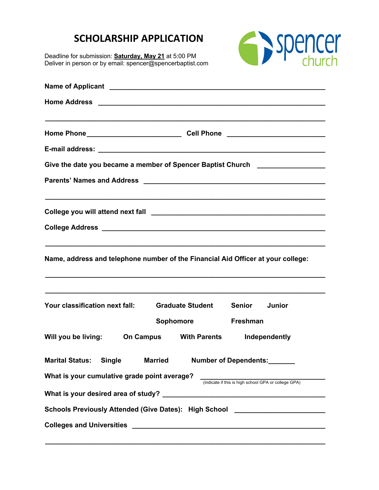## **SCHOLARSHIP APPLICATION**

Deadline for submission: **Saturday, May 21** at 5:00 PM Deliver in person or by email: spencer@spencerbaptist.com



| Give the date you became a member of Spencer Baptist Church ____________________                     |
|------------------------------------------------------------------------------------------------------|
|                                                                                                      |
|                                                                                                      |
|                                                                                                      |
|                                                                                                      |
| Name, address and telephone number of the Financial Aid Officer at your college:                     |
| Your classification next fall:<br><b>Graduate Student</b><br>Senior<br>Junior                        |
| <b>Sophomore</b><br>Freshman                                                                         |
| Will you be living:<br>On Campus With Parents<br>Independently                                       |
| <b>Single</b><br>Number of Dependents:<br><b>Marital Status:</b><br><b>Married</b>                   |
| What is your cumulative grade point average?<br>(indicate if this is high school GPA or college GPA) |
|                                                                                                      |
| Schools Previously Attended (Give Dates): High School __________________________                     |
|                                                                                                      |

**\_\_\_\_\_\_\_\_\_\_\_\_\_\_\_\_\_\_\_\_\_\_\_\_\_\_\_\_\_\_\_\_\_\_\_\_\_\_\_\_\_\_\_\_\_\_\_\_\_\_\_\_\_\_\_\_\_\_\_\_\_\_\_\_\_\_\_\_\_\_\_\_\_\_**